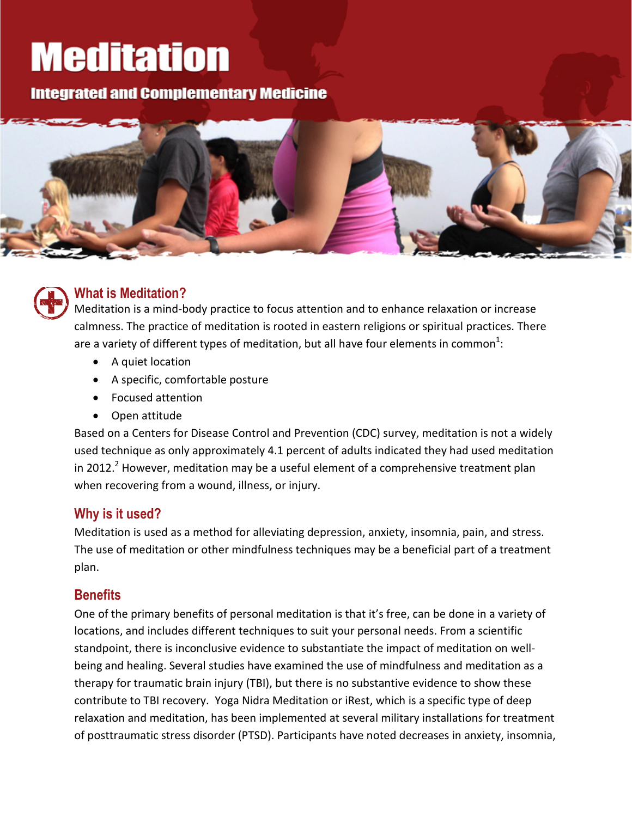# **Meditation**

**Integrated and Complementary Medicine** 





### **What is Meditation?**

Meditation is a mind-body practice to focus attention and to enhance relaxation or increase calmness. The practice of meditation is rooted in eastern religions or spiritual practices. There are a variety of different types of meditation, but all have four elements in common $^1$ :

- A quiet location
- A specific, comfortable posture
- Focused attention
- Open attitude

Based on a Centers for Disease Control and Prevention (CDC) survey, meditation is not a widely used technique as only approximately 4.1 percent of adults indicated they had used meditation in 2012.<sup>2</sup> However, meditation may be a useful element of a comprehensive treatment plan when recovering from a wound, illness, or injury.

### **Why is it used?**

Meditation is used as a method for alleviating depression, anxiety, insomnia, pain, and stress. The use of meditation or other mindfulness techniques may be a beneficial part of a treatment plan.

### **Benefits**

One of the primary benefits of personal meditation is that it's free, can be done in a variety of locations, and includes different techniques to suit your personal needs. From a scientific standpoint, there is inconclusive evidence to substantiate the impact of meditation on wellbeing and healing. Several studies have examined the use of mindfulness and meditation as a therapy for traumatic brain injury (TBI), but there is no substantive evidence to show these contribute to TBI recovery. Yoga Nidra Meditation or iRest, which is a specific type of deep relaxation and meditation, has been implemented at several military installations for treatment of posttraumatic stress disorder (PTSD). Participants have noted decreases in anxiety, insomnia,